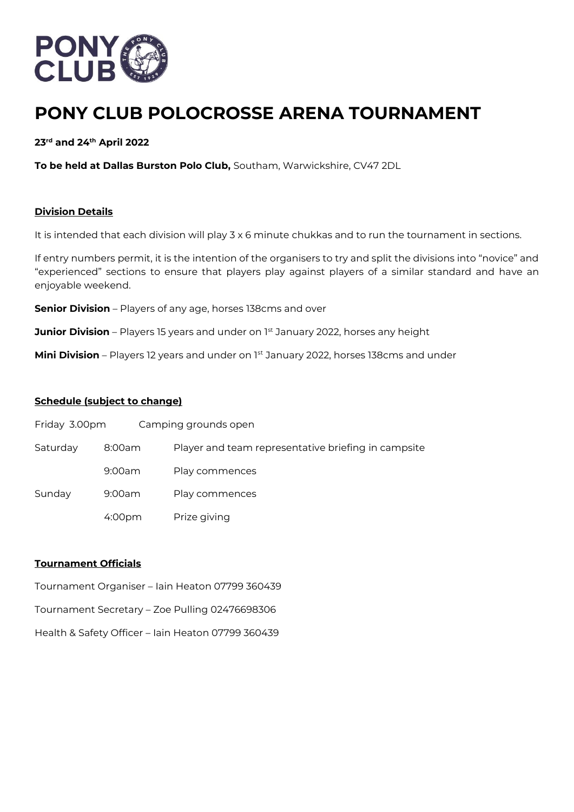

# **PONY CLUB POLOCROSSE ARENA TOURNAMENT**

**23rd and 24th April 2022**

**To be held at Dallas Burston Polo Club,** Southam, Warwickshire, CV47 2DL

## **Division Details**

It is intended that each division will play 3 x 6 minute chukkas and to run the tournament in sections.

If entry numbers permit, it is the intention of the organisers to try and split the divisions into "novice" and "experienced" sections to ensure that players play against players of a similar standard and have an enjoyable weekend.

**Senior Division** – Players of any age, horses 138cms and over

**Junior Division** – Players 15 years and under on 1<sup>st</sup> January 2022, horses any height

**Mini Division** – Players 12 years and under on 1st January 2022, horses 138cms and under

#### **Schedule (subject to change)**

| Friday 3.00pm |                    | Camping grounds open                                |
|---------------|--------------------|-----------------------------------------------------|
| Saturday      | 8:00am             | Player and team representative briefing in campsite |
|               | 9:00am             | Play commences                                      |
| Sunday        | 9:00am             | Play commences                                      |
|               | 4:00 <sub>pm</sub> | Prize giving                                        |

## **Tournament Officials**

- Tournament Organiser Iain Heaton 07799 360439
- Tournament Secretary Zoe Pulling 02476698306
- Health & Safety Officer Iain Heaton 07799 360439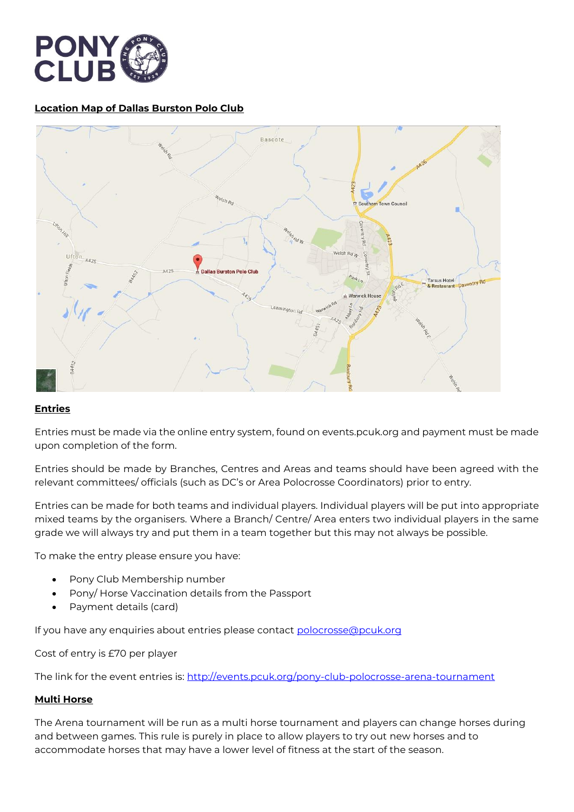

# **Location Map of Dallas Burston Polo Club**



## **Entries**

Entries must be made via the online entry system, found on events.pcuk.org and payment must be made upon completion of the form.

Entries should be made by Branches, Centres and Areas and teams should have been agreed with the relevant committees/ officials (such as DC's or Area Polocrosse Coordinators) prior to entry.

Entries can be made for both teams and individual players. Individual players will be put into appropriate mixed teams by the organisers. Where a Branch/ Centre/ Area enters two individual players in the same grade we will always try and put them in a team together but this may not always be possible.

To make the entry please ensure you have:

- Pony Club Membership number
- Pony/ Horse Vaccination details from the Passport
- Payment details (card)

If you have any enquiries about entries please contact [polocrosse@pcuk.org](mailto:polocrosse@pcuk.org)

Cost of entry is £70 per player

The link for the event entries is:<http://events.pcuk.org/pony-club-polocrosse-arena-tournament>

## **Multi Horse**

The Arena tournament will be run as a multi horse tournament and players can change horses during and between games. This rule is purely in place to allow players to try out new horses and to accommodate horses that may have a lower level of fitness at the start of the season.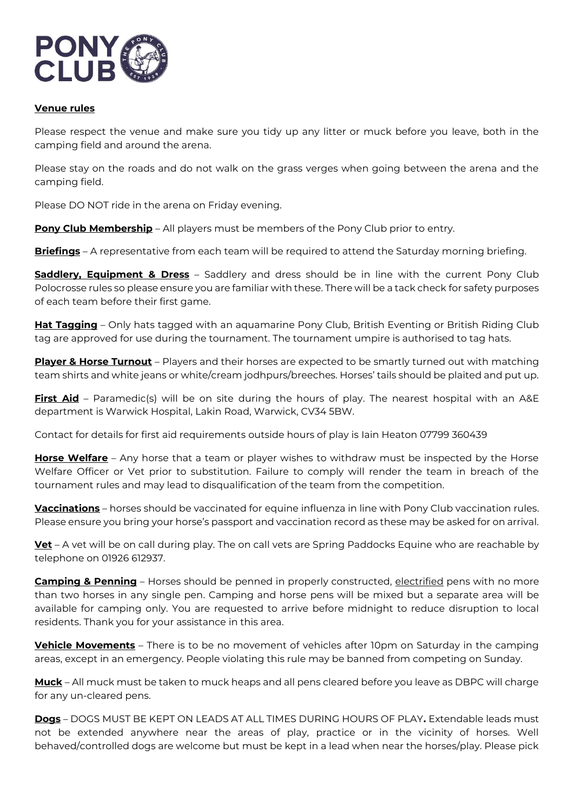

# **Venue rules**

Please respect the venue and make sure you tidy up any litter or muck before you leave, both in the camping field and around the arena.

Please stay on the roads and do not walk on the grass verges when going between the arena and the camping field.

Please DO NOT ride in the arena on Friday evening.

**Pony Club Membership** – All players must be members of the Pony Club prior to entry.

**Briefings** – A representative from each team will be required to attend the Saturday morning briefing.

**Saddlery, Equipment & Dress** – Saddlery and dress should be in line with the current Pony Club Polocrosse rules so please ensure you are familiar with these. There will be a tack check for safety purposes of each team before their first game.

**Hat Tagging** – Only hats tagged with an aquamarine Pony Club, British Eventing or British Riding Club tag are approved for use during the tournament. The tournament umpire is authorised to tag hats.

**Player & Horse Turnout** – Players and their horses are expected to be smartly turned out with matching team shirts and white jeans or white/cream jodhpurs/breeches. Horses' tails should be plaited and put up.

**First Aid** – Paramedic(s) will be on site during the hours of play. The nearest hospital with an A&E department is Warwick Hospital, Lakin Road, Warwick, CV34 5BW.

Contact for details for first aid requirements outside hours of play is Iain Heaton 07799 360439

**Horse Welfare** – Any horse that a team or player wishes to withdraw must be inspected by the Horse Welfare Officer or Vet prior to substitution. Failure to comply will render the team in breach of the tournament rules and may lead to disqualification of the team from the competition.

**Vaccinations** – horses should be vaccinated for equine influenza in line with Pony Club vaccination rules. Please ensure you bring your horse's passport and vaccination record as these may be asked for on arrival.

**Vet** – A vet will be on call during play. The on call vets are Spring Paddocks Equine who are reachable by telephone on 01926 612937.

**Camping & Penning** – Horses should be penned in properly constructed, electrified pens with no more than two horses in any single pen. Camping and horse pens will be mixed but a separate area will be available for camping only. You are requested to arrive before midnight to reduce disruption to local residents. Thank you for your assistance in this area.

**Vehicle Movements** – There is to be no movement of vehicles after 10pm on Saturday in the camping areas, except in an emergency. People violating this rule may be banned from competing on Sunday.

**Muck** – All muck must be taken to muck heaps and all pens cleared before you leave as DBPC will charge for any un-cleared pens.

**Dogs** – DOGS MUST BE KEPT ON LEADS AT ALL TIMES DURING HOURS OF PLAY**.** Extendable leads must not be extended anywhere near the areas of play, practice or in the vicinity of horses. Well behaved/controlled dogs are welcome but must be kept in a lead when near the horses/play. Please pick